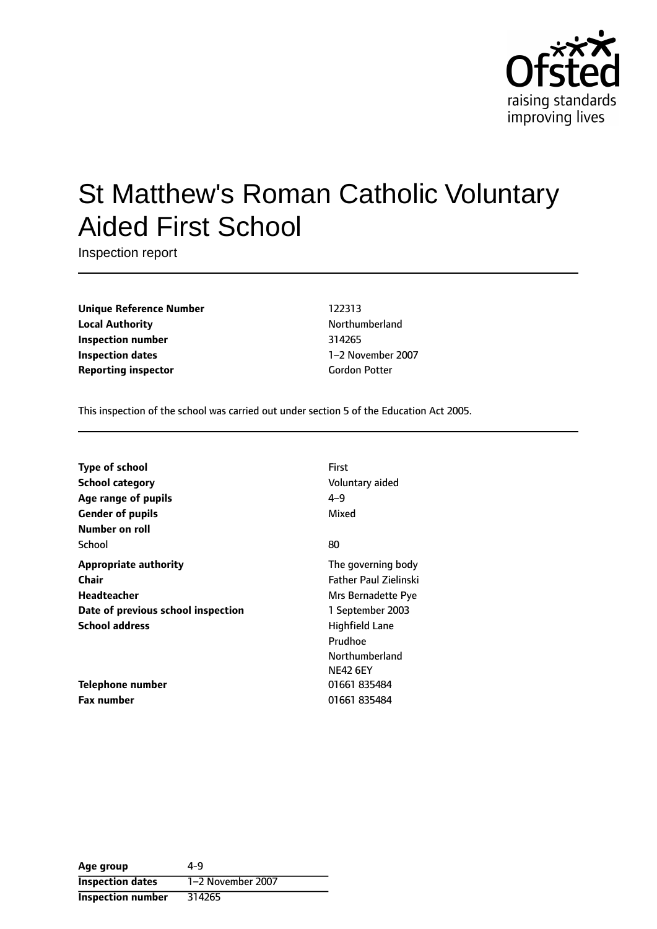

# St Matthew's Roman Catholic Voluntary Aided First School

Inspection report

**Unique Reference Number** 122313 **Local Authority Northumberland Inspection number** 314265 **Inspection dates** 1-2 November 2007 **Reporting inspector** Gordon Potter

This inspection of the school was carried out under section 5 of the Education Act 2005.

| <b>Type of school</b>              | First                        |
|------------------------------------|------------------------------|
| <b>School category</b>             | Voluntary aided              |
| Age range of pupils                | $4 - 9$                      |
| <b>Gender of pupils</b>            | Mixed                        |
| Number on roll                     |                              |
| School                             | 80                           |
| <b>Appropriate authority</b>       | The governing body           |
| Chair                              | <b>Father Paul Zielinski</b> |
| <b>Headteacher</b>                 | Mrs Bernadette Pye           |
| Date of previous school inspection | 1 September 2003             |
| <b>School address</b>              | Highfield Lane               |
|                                    | Prudhoe                      |
|                                    | Northumberland               |
|                                    | <b>NE42 6EY</b>              |
| Telephone number                   | 01661 835484                 |
| <b>Fax number</b>                  | 01661 835484                 |

| Age group                | 4-9               |
|--------------------------|-------------------|
| <b>Inspection dates</b>  | 1-2 November 2007 |
| <b>Inspection number</b> | 314265            |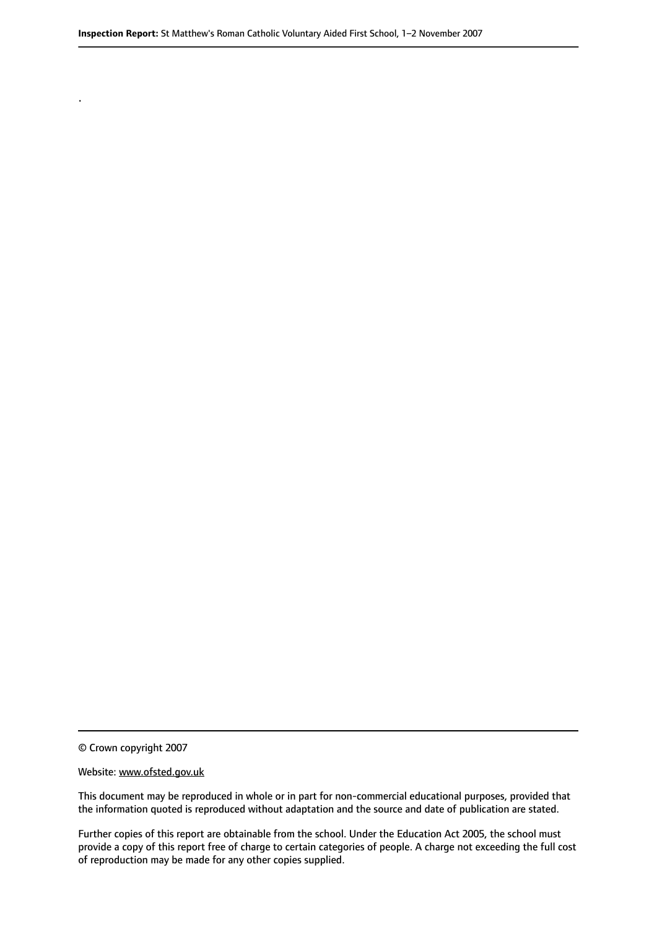© Crown copyright 2007

.

#### Website: www.ofsted.gov.uk

This document may be reproduced in whole or in part for non-commercial educational purposes, provided that the information quoted is reproduced without adaptation and the source and date of publication are stated.

Further copies of this report are obtainable from the school. Under the Education Act 2005, the school must provide a copy of this report free of charge to certain categories of people. A charge not exceeding the full cost of reproduction may be made for any other copies supplied.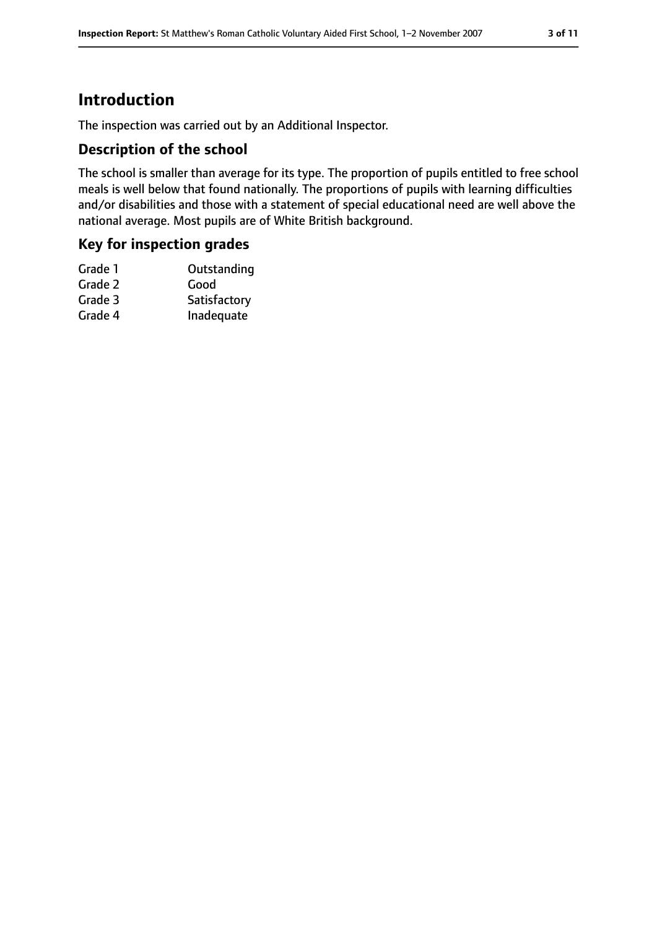## **Introduction**

The inspection was carried out by an Additional Inspector.

#### **Description of the school**

The school is smaller than average for its type. The proportion of pupils entitled to free school meals is well below that found nationally. The proportions of pupils with learning difficulties and/or disabilities and those with a statement of special educational need are well above the national average. Most pupils are of White British background.

#### **Key for inspection grades**

| Grade 1 | Outstanding  |
|---------|--------------|
| Grade 2 | Good         |
| Grade 3 | Satisfactory |
| Grade 4 | Inadequate   |
|         |              |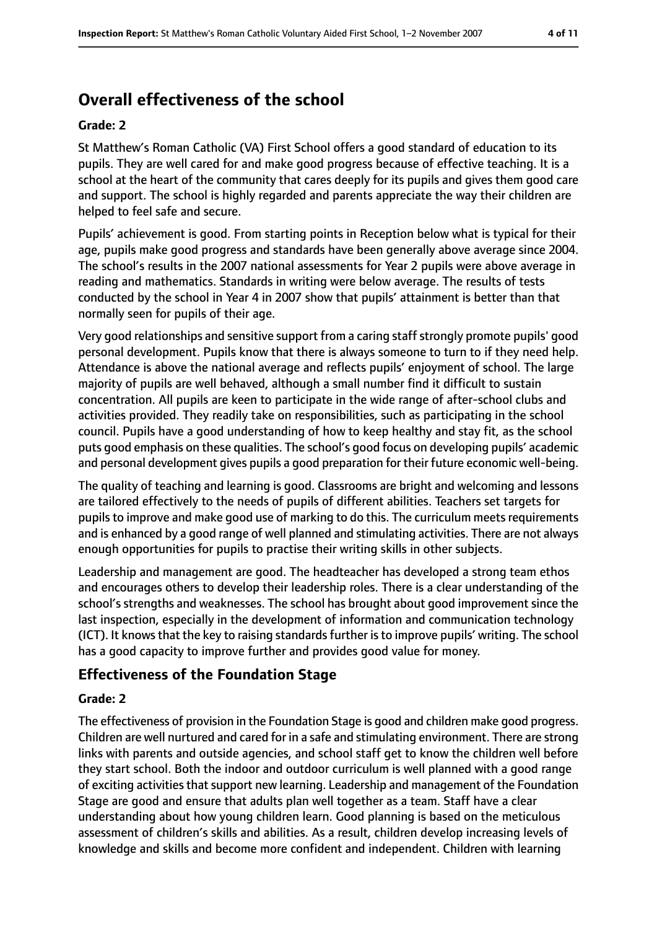## **Overall effectiveness of the school**

#### **Grade: 2**

St Matthew's Roman Catholic (VA) First School offers a good standard of education to its pupils. They are well cared for and make good progress because of effective teaching. It is a school at the heart of the community that cares deeply for its pupils and gives them good care and support. The school is highly regarded and parents appreciate the way their children are helped to feel safe and secure.

Pupils' achievement is good. From starting points in Reception below what is typical for their age, pupils make good progress and standards have been generally above average since 2004. The school's results in the 2007 national assessments for Year 2 pupils were above average in reading and mathematics. Standards in writing were below average. The results of tests conducted by the school in Year 4 in 2007 show that pupils' attainment is better than that normally seen for pupils of their age.

Very good relationships and sensitive support from a caring staff strongly promote pupils' good personal development. Pupils know that there is always someone to turn to if they need help. Attendance is above the national average and reflects pupils' enjoyment of school. The large majority of pupils are well behaved, although a small number find it difficult to sustain concentration. All pupils are keen to participate in the wide range of after-school clubs and activities provided. They readily take on responsibilities, such as participating in the school council. Pupils have a good understanding of how to keep healthy and stay fit, as the school puts good emphasis on these qualities. The school's good focus on developing pupils' academic and personal development gives pupils a good preparation for their future economic well-being.

The quality of teaching and learning is good. Classrooms are bright and welcoming and lessons are tailored effectively to the needs of pupils of different abilities. Teachers set targets for pupils to improve and make good use of marking to do this. The curriculum meets requirements and is enhanced by a good range of well planned and stimulating activities. There are not always enough opportunities for pupils to practise their writing skills in other subjects.

Leadership and management are good. The headteacher has developed a strong team ethos and encourages others to develop their leadership roles. There is a clear understanding of the school's strengths and weaknesses. The school has brought about good improvement since the last inspection, especially in the development of information and communication technology (ICT). It knows that the key to raising standards further is to improve pupils' writing. The school has a good capacity to improve further and provides good value for money.

### **Effectiveness of the Foundation Stage**

#### **Grade: 2**

The effectiveness of provision in the Foundation Stage is good and children make good progress. Children are well nurtured and cared for in a safe and stimulating environment. There are strong links with parents and outside agencies, and school staff get to know the children well before they start school. Both the indoor and outdoor curriculum is well planned with a good range of exciting activities that support new learning. Leadership and management of the Foundation Stage are good and ensure that adults plan well together as a team. Staff have a clear understanding about how young children learn. Good planning is based on the meticulous assessment of children's skills and abilities. As a result, children develop increasing levels of knowledge and skills and become more confident and independent. Children with learning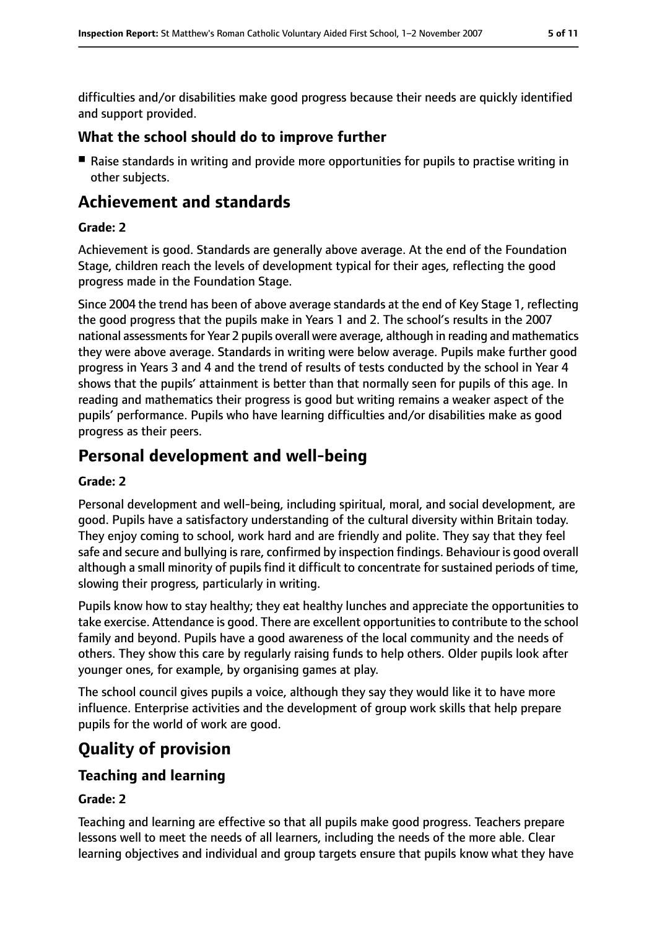difficulties and/or disabilities make good progress because their needs are quickly identified and support provided.

#### **What the school should do to improve further**

■ Raise standards in writing and provide more opportunities for pupils to practise writing in other subjects.

## **Achievement and standards**

#### **Grade: 2**

Achievement is good. Standards are generally above average. At the end of the Foundation Stage, children reach the levels of development typical for their ages, reflecting the good progress made in the Foundation Stage.

Since 2004 the trend has been of above average standards at the end of Key Stage 1, reflecting the good progress that the pupils make in Years 1 and 2. The school's results in the 2007 national assessments for Year 2 pupils overall were average, although in reading and mathematics they were above average. Standards in writing were below average. Pupils make further good progress in Years 3 and 4 and the trend of results of tests conducted by the school in Year 4 shows that the pupils' attainment is better than that normally seen for pupils of this age. In reading and mathematics their progress is good but writing remains a weaker aspect of the pupils' performance. Pupils who have learning difficulties and/or disabilities make as good progress as their peers.

## **Personal development and well-being**

#### **Grade: 2**

Personal development and well-being, including spiritual, moral, and social development, are good. Pupils have a satisfactory understanding of the cultural diversity within Britain today. They enjoy coming to school, work hard and are friendly and polite. They say that they feel safe and secure and bullying is rare, confirmed by inspection findings. Behaviour is good overall although a small minority of pupils find it difficult to concentrate for sustained periods of time, slowing their progress, particularly in writing.

Pupils know how to stay healthy; they eat healthy lunches and appreciate the opportunities to take exercise. Attendance is good. There are excellent opportunitiesto contribute to the school family and beyond. Pupils have a good awareness of the local community and the needs of others. They show this care by regularly raising funds to help others. Older pupils look after younger ones, for example, by organising games at play.

The school council gives pupils a voice, although they say they would like it to have more influence. Enterprise activities and the development of group work skills that help prepare pupils for the world of work are good.

## **Quality of provision**

#### **Teaching and learning**

#### **Grade: 2**

Teaching and learning are effective so that all pupils make good progress. Teachers prepare lessons well to meet the needs of all learners, including the needs of the more able. Clear learning objectives and individual and group targets ensure that pupils know what they have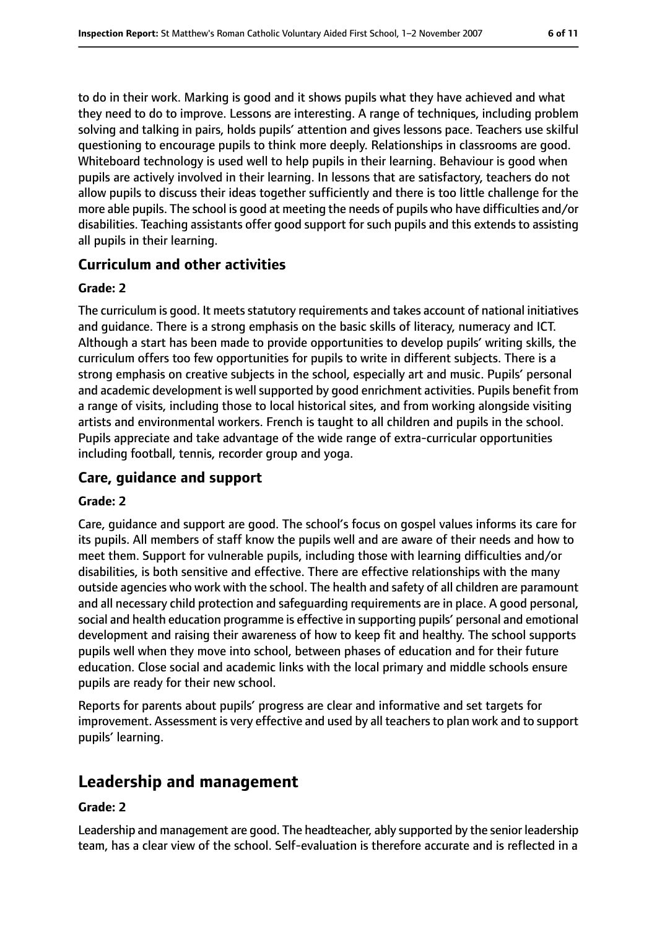to do in their work. Marking is good and it shows pupils what they have achieved and what they need to do to improve. Lessons are interesting. A range of techniques, including problem solving and talking in pairs, holds pupils' attention and gives lessons pace. Teachers use skilful questioning to encourage pupils to think more deeply. Relationships in classrooms are good. Whiteboard technology is used well to help pupils in their learning. Behaviour is good when pupils are actively involved in their learning. In lessons that are satisfactory, teachers do not allow pupils to discuss their ideas together sufficiently and there is too little challenge for the more able pupils. The school is good at meeting the needs of pupils who have difficulties and/or disabilities. Teaching assistants offer good support for such pupils and this extends to assisting all pupils in their learning.

#### **Curriculum and other activities**

#### **Grade: 2**

The curriculum is good. It meets statutory requirements and takes account of national initiatives and guidance. There is a strong emphasis on the basic skills of literacy, numeracy and ICT. Although a start has been made to provide opportunities to develop pupils' writing skills, the curriculum offers too few opportunities for pupils to write in different subjects. There is a strong emphasis on creative subjects in the school, especially art and music. Pupils' personal and academic development is well supported by good enrichment activities. Pupils benefit from a range of visits, including those to local historical sites, and from working alongside visiting artists and environmental workers. French is taught to all children and pupils in the school. Pupils appreciate and take advantage of the wide range of extra-curricular opportunities including football, tennis, recorder group and yoga.

#### **Care, guidance and support**

#### **Grade: 2**

Care, guidance and support are good. The school's focus on gospel values informs its care for its pupils. All members of staff know the pupils well and are aware of their needs and how to meet them. Support for vulnerable pupils, including those with learning difficulties and/or disabilities, is both sensitive and effective. There are effective relationships with the many outside agencies who work with the school. The health and safety of all children are paramount and all necessary child protection and safeguarding requirements are in place. A good personal, social and health education programme is effective in supporting pupils' personal and emotional development and raising their awareness of how to keep fit and healthy. The school supports pupils well when they move into school, between phases of education and for their future education. Close social and academic links with the local primary and middle schools ensure pupils are ready for their new school.

Reports for parents about pupils' progress are clear and informative and set targets for improvement. Assessment is very effective and used by all teachers to plan work and to support pupils' learning.

## **Leadership and management**

#### **Grade: 2**

Leadership and management are good. The headteacher, ably supported by the senior leadership team, has a clear view of the school. Self-evaluation is therefore accurate and is reflected in a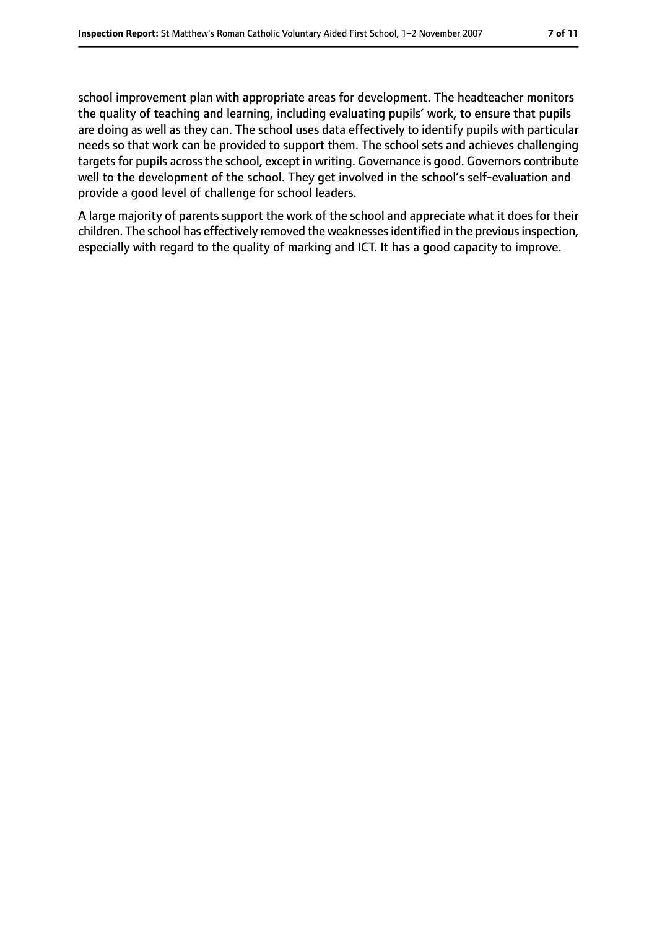school improvement plan with appropriate areas for development. The headteacher monitors the quality of teaching and learning, including evaluating pupils' work, to ensure that pupils are doing as well as they can. The school uses data effectively to identify pupils with particular needs so that work can be provided to support them. The school sets and achieves challenging targets for pupils across the school, except in writing. Governance is good. Governors contribute well to the development of the school. They get involved in the school's self-evaluation and provide a good level of challenge for school leaders.

A large majority of parents support the work of the school and appreciate what it does for their children. The school has effectively removed the weaknesses identified in the previous inspection, especially with regard to the quality of marking and ICT. It has a good capacity to improve.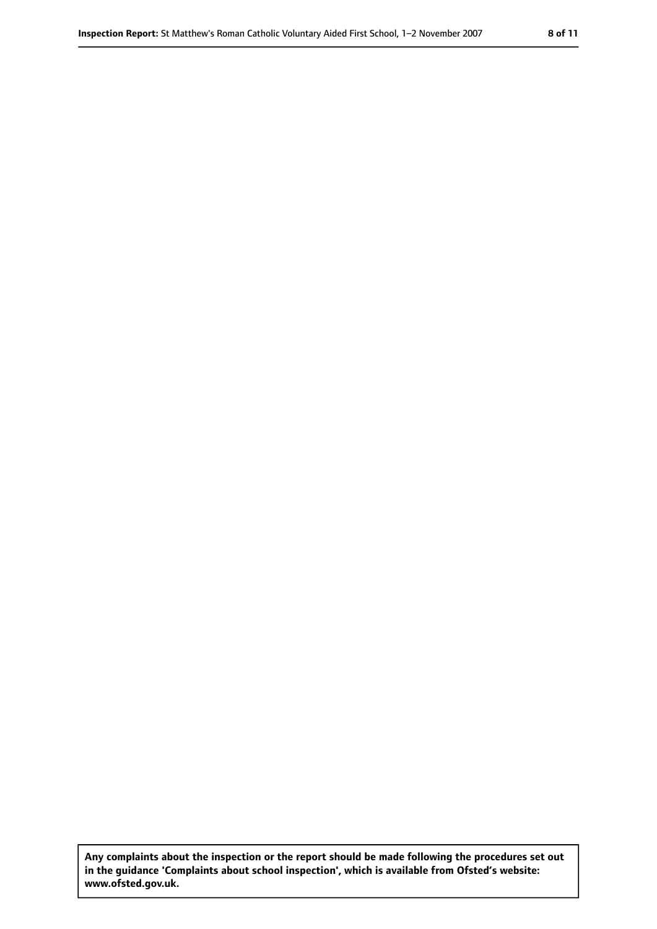**Any complaints about the inspection or the report should be made following the procedures set out in the guidance 'Complaints about school inspection', which is available from Ofsted's website: www.ofsted.gov.uk.**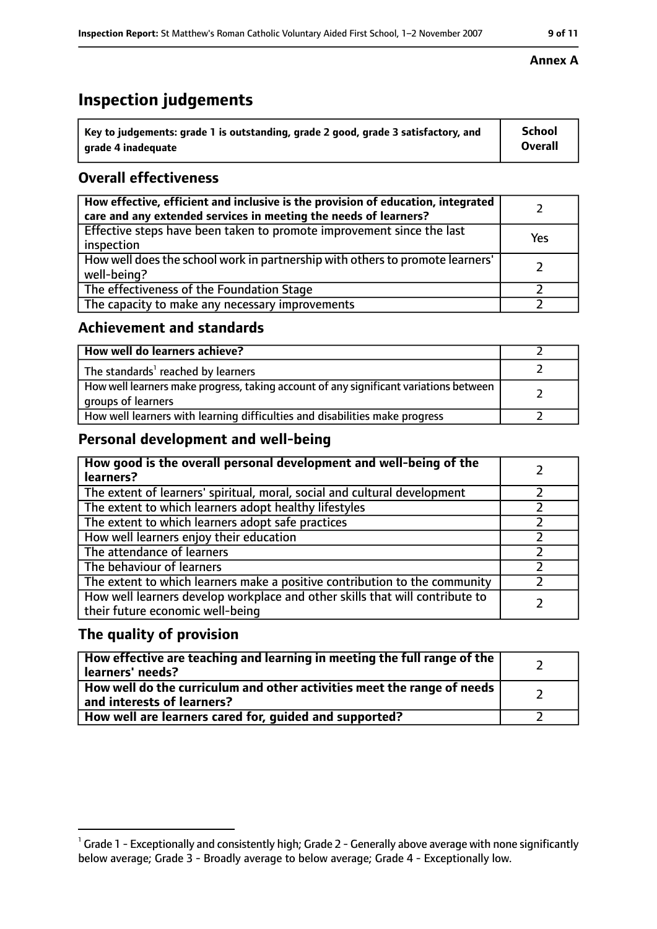## **Inspection judgements**

| $^\dagger$ Key to judgements: grade 1 is outstanding, grade 2 good, grade 3 satisfactory, and | School         |
|-----------------------------------------------------------------------------------------------|----------------|
| arade 4 inadeguate                                                                            | <b>Overall</b> |

#### **Overall effectiveness**

| How effective, efficient and inclusive is the provision of education, integrated<br>care and any extended services in meeting the needs of learners? |     |
|------------------------------------------------------------------------------------------------------------------------------------------------------|-----|
| Effective steps have been taken to promote improvement since the last<br>inspection                                                                  | Yes |
| How well does the school work in partnership with others to promote learners'<br>well-being?                                                         |     |
| The effectiveness of the Foundation Stage                                                                                                            |     |
| The capacity to make any necessary improvements                                                                                                      |     |

#### **Achievement and standards**

| How well do learners achieve?                                                                               |  |
|-------------------------------------------------------------------------------------------------------------|--|
| The standards <sup>1</sup> reached by learners                                                              |  |
| How well learners make progress, taking account of any significant variations between<br>groups of learners |  |
| How well learners with learning difficulties and disabilities make progress                                 |  |

### **Personal development and well-being**

| How good is the overall personal development and well-being of the<br>learners?                                  |  |
|------------------------------------------------------------------------------------------------------------------|--|
| The extent of learners' spiritual, moral, social and cultural development                                        |  |
| The extent to which learners adopt healthy lifestyles                                                            |  |
| The extent to which learners adopt safe practices                                                                |  |
| How well learners enjoy their education                                                                          |  |
| The attendance of learners                                                                                       |  |
| The behaviour of learners                                                                                        |  |
| The extent to which learners make a positive contribution to the community                                       |  |
| How well learners develop workplace and other skills that will contribute to<br>their future economic well-being |  |

#### **The quality of provision**

| How effective are teaching and learning in meeting the full range of the<br>learners' needs?          |  |
|-------------------------------------------------------------------------------------------------------|--|
| How well do the curriculum and other activities meet the range of needs<br>and interests of learners? |  |
| How well are learners cared for, guided and supported?                                                |  |

#### **Annex A**

 $^1$  Grade 1 - Exceptionally and consistently high; Grade 2 - Generally above average with none significantly below average; Grade 3 - Broadly average to below average; Grade 4 - Exceptionally low.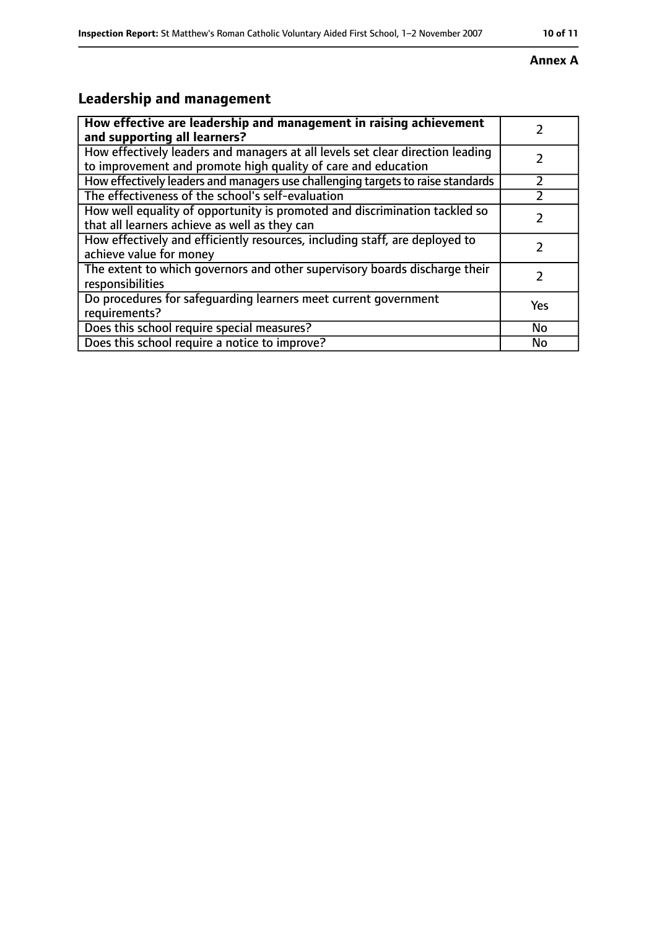#### **Annex A**

## **Leadership and management**

| How effective are leadership and management in raising achievement<br>and supporting all learners?                                              |     |
|-------------------------------------------------------------------------------------------------------------------------------------------------|-----|
| How effectively leaders and managers at all levels set clear direction leading<br>to improvement and promote high quality of care and education |     |
| How effectively leaders and managers use challenging targets to raise standards                                                                 |     |
| The effectiveness of the school's self-evaluation                                                                                               |     |
| How well equality of opportunity is promoted and discrimination tackled so<br>that all learners achieve as well as they can                     |     |
| How effectively and efficiently resources, including staff, are deployed to<br>achieve value for money                                          |     |
| The extent to which governors and other supervisory boards discharge their<br>responsibilities                                                  |     |
| Do procedures for safequarding learners meet current government<br>requirements?                                                                | Yes |
| Does this school require special measures?                                                                                                      | No  |
| Does this school require a notice to improve?                                                                                                   | No  |